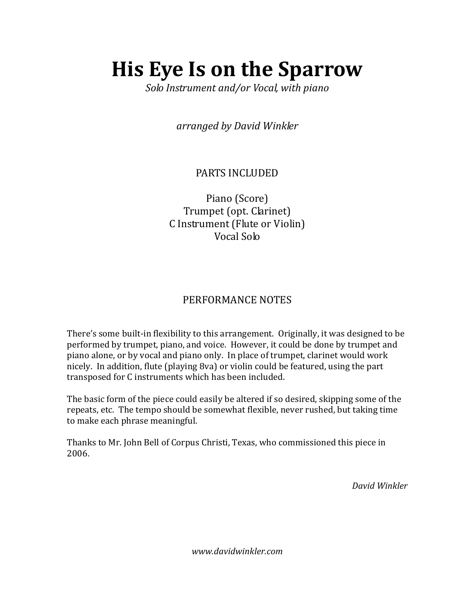## **His Eye Is on the Sparrow**

*Solo Instrument and/or Vocal, with piano*

*arranged by David Winkler*

## PARTS INCLUDED

Piano (Score) Trumpet (opt. Clarinet) C Instrument (Flute or Violin) Vocal Solo

## PERFORMANCE NOTES

There's some built-in flexibility to this arrangement. Originally, it was designed to be performed by trumpet, piano, and voice. However, it could be done by trumpet and piano alone, or by vocal and piano only. In place of trumpet, clarinet would work nicely. In addition, flute (playing 8va) or violin could be featured, using the part transposed for C instruments which has been included.

The basic form of the piece could easily be altered if so desired, skipping some of the repeats, etc. The tempo should be somewhat flexible, never rushed, but taking time to make each phrase meaningful.

Thanks to Mr. John Bell of Corpus Christi, Texas, who commissioned this piece in 2006.

*David Winkler*

*www.davidwinkler.com*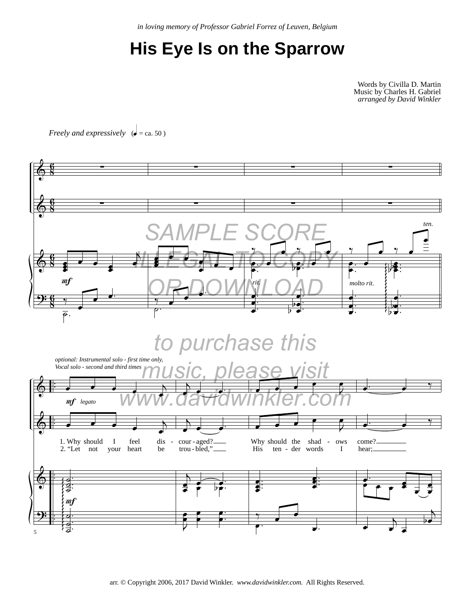*in loving memory of Professor Gabriel Forrez of Leuven, Belgium*

## **His Eye Is on the Sparrow**

Words by Civilla D. Martin Music by Charles H. Gabriel *arranged by David Winkler*

*Freely and expressively*  $\left(\bullet = \text{ca. } 50\right)$ 

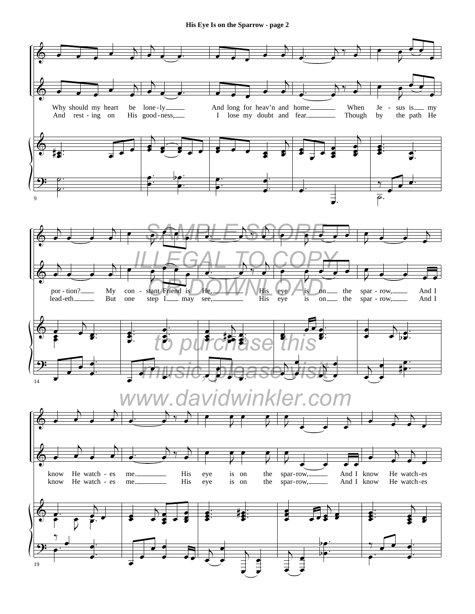**His Eye Is on the Sparrow - page 2** 

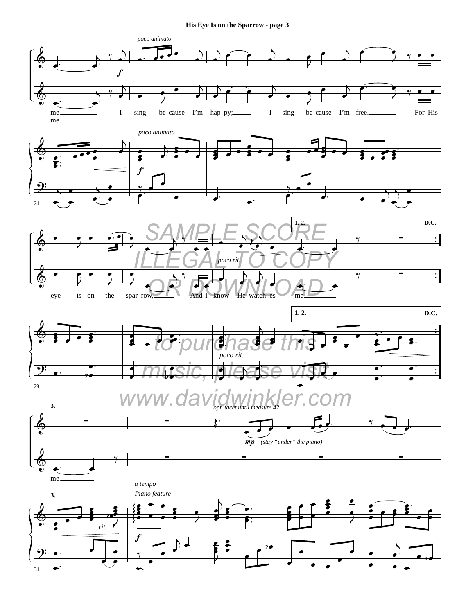**His Eye Is on the Sparrow - page 3** 

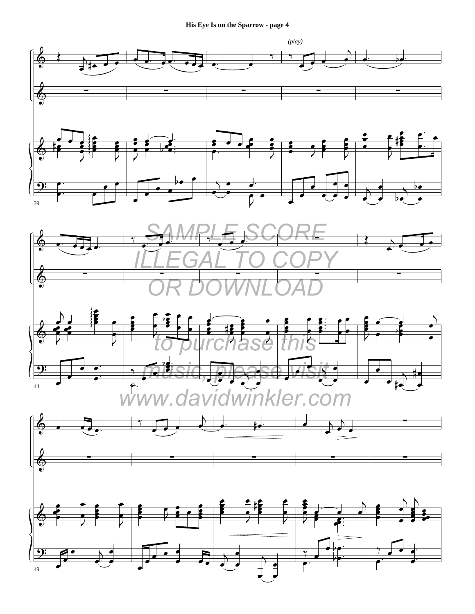**His Eye Is on the Sparrow - page 4**